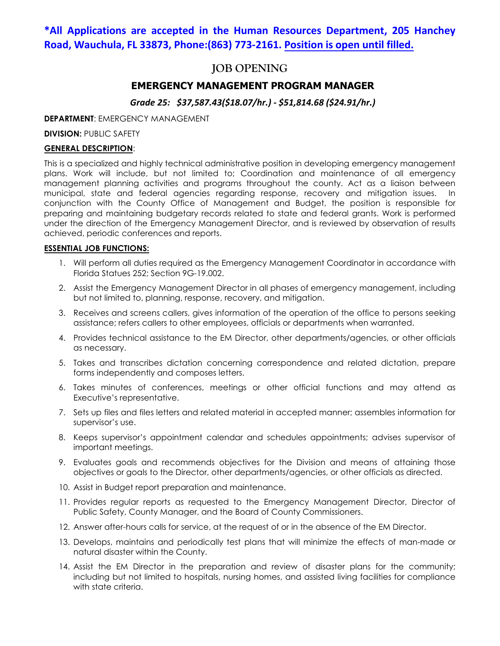## **\*All Applications are accepted in the Human Resources Department, 205 Hanchey Road, Wauchula, FL 33873, Phone:(863) 773-2161. Position is open until filled.**

## **JOB OPENING**

## **EMERGENCY MANAGEMENT PROGRAM MANAGER**

## *Grade 25: \$37,587.43(\$18.07/hr.) - \$51,814.68 (\$24.91/hr.)*

#### **DEPARTMENT**: EMERGENCY MANAGEMENT

**DIVISION: PUBLIC SAFETY** 

#### **GENERAL DESCRIPTION**:

This is a specialized and highly technical administrative position in developing emergency management plans. Work will include, but not limited to; Coordination and maintenance of all emergency management planning activities and programs throughout the county. Act as a liaison between municipal, state and federal agencies regarding response, recovery and mitigation issues. In conjunction with the County Office of Management and Budget, the position is responsible for preparing and maintaining budgetary records related to state and federal grants. Work is performed under the direction of the Emergency Management Director, and is reviewed by observation of results achieved, periodic conferences and reports.

#### **ESSENTIAL JOB FUNCTIONS:**

- 1. Will perform all duties required as the Emergency Management Coordinator in accordance with Florida Statues 252; Section 9G-19.002.
- 2. Assist the Emergency Management Director in all phases of emergency management, including but not limited to, planning, response, recovery, and mitigation.
- 3. Receives and screens callers, gives information of the operation of the office to persons seeking assistance; refers callers to other employees, officials or departments when warranted.
- 4. Provides technical assistance to the EM Director, other departments/agencies, or other officials as necessary.
- 5. Takes and transcribes dictation concerning correspondence and related dictation, prepare forms independently and composes letters.
- 6. Takes minutes of conferences, meetings or other official functions and may attend as Executive's representative.
- 7. Sets up files and files letters and related material in accepted manner; assembles information for supervisor's use.
- 8. Keeps supervisor's appointment calendar and schedules appointments; advises supervisor of important meetings.
- 9. Evaluates goals and recommends objectives for the Division and means of attaining those objectives or goals to the Director, other departments/agencies, or other officials as directed.
- 10. Assist in Budget report preparation and maintenance.
- 11. Provides regular reports as requested to the Emergency Management Director, Director of Public Safety, County Manager, and the Board of County Commissioners.
- 12. Answer after-hours calls for service, at the request of or in the absence of the EM Director.
- 13. Develops, maintains and periodically test plans that will minimize the effects of man-made or natural disaster within the County.
- 14. Assist the EM Director in the preparation and review of disaster plans for the community; including but not limited to hospitals, nursing homes, and assisted living facilities for compliance with state criteria.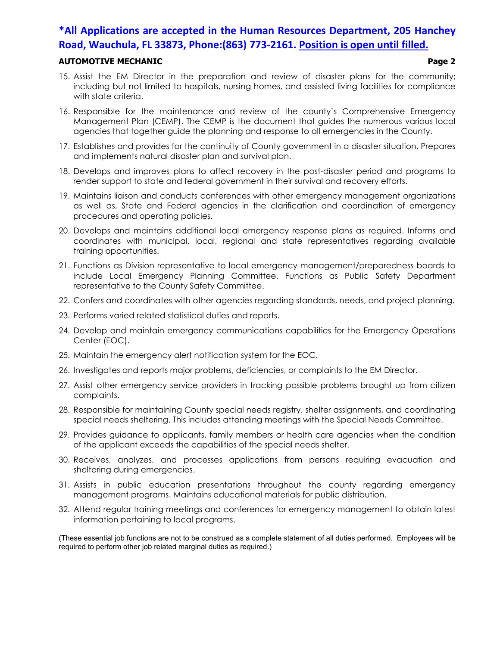# **\*All Applications are accepted in the Human Resources Department, 205 Hanchey Road, Wauchula, FL 33873, Phone:(863) 773-2161. Position is open until filled.**

### **AUTOMOTIVE MECHANIC Page 2**

- 15. Assist the EM Director in the preparation and review of disaster plans for the community; including but not limited to hospitals, nursing homes, and assisted living facilities for compliance with state criteria.
- 16. Responsible for the maintenance and review of the county's Comprehensive Emergency Management Plan (CEMP). The CEMP is the document that guides the numerous various local agencies that together guide the planning and response to all emergencies in the County.
- 17. Establishes and provides for the continuity of County government in a disaster situation. Prepares and implements natural disaster plan and survival plan.
- 18. Develops and improves plans to affect recovery in the post-disaster period and programs to render support to state and federal government in their survival and recovery efforts.
- 19. Maintains liaison and conducts conferences with other emergency management organizations as well as, State and Federal agencies in the clarification and coordination of emergency procedures and operating policies.
- 20. Develops and maintains additional local emergency response plans as required. Informs and coordinates with municipal, local, regional and state representatives regarding available training opportunities.
- 21. Functions as Division representative to local emergency management/preparedness boards to include Local Emergency Planning Committee. Functions as Public Safety Department representative to the County Safety Committee.
- 22. Confers and coordinates with other agencies regarding standards, needs, and project planning.
- 23. Performs varied related statistical duties and reports.
- 24. Develop and maintain emergency communications capabilities for the Emergency Operations Center (EOC).
- 25. Maintain the emergency alert notification system for the EOC.
- 26. Investigates and reports major problems, deficiencies, or complaints to the EM Director.
- 27. Assist other emergency service providers in tracking possible problems brought up from citizen complaints.
- 28. Responsible for maintaining County special needs registry, shelter assignments, and coordinating special needs sheltering. This includes attending meetings with the Special Needs Committee.
- 29. Provides guidance to applicants, family members or health care agencies when the condition of the applicant exceeds the capabilities of the special needs shelter.
- 30. Receives, analyzes, and processes applications from persons requiring evacuation and sheltering during emergencies.
- 31. Assists in public education presentations throughout the county regarding emergency management programs. Maintains educational materials for public distribution.
- 32. Attend regular training meetings and conferences for emergency management to obtain latest information pertaining to local programs.

(These essential job functions are not to be construed as a complete statement of all duties performed. Employees will be required to perform other job related marginal duties as required.)